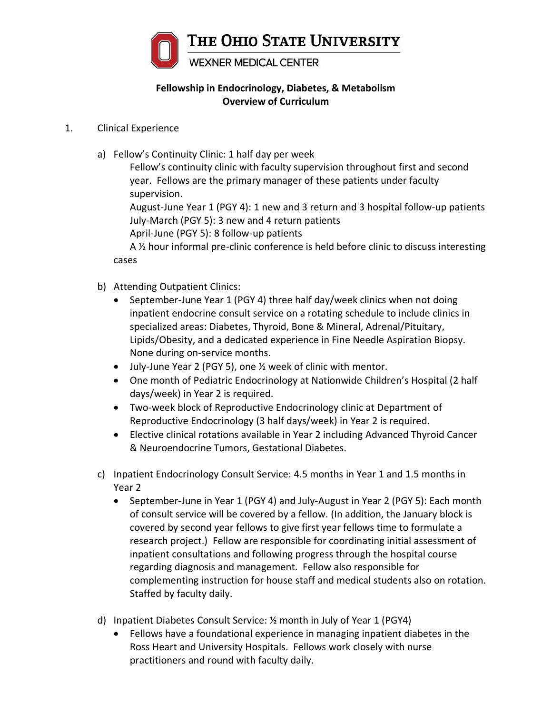

## **Fellowship in Endocrinology, Diabetes, & Metabolism Overview of Curriculum**

## 1. Clinical Experience

a) Fellow's Continuity Clinic: 1 half day per week

Fellow's continuity clinic with faculty supervision throughout first and second year. Fellows are the primary manager of these patients under faculty supervision.

August-June Year 1 (PGY 4): 1 new and 3 return and 3 hospital follow-up patients July-March (PGY 5): 3 new and 4 return patients

April-June (PGY 5): 8 follow-up patients

A 1/2 hour informal pre-clinic conference is held before clinic to discuss interesting cases

- b) Attending Outpatient Clinics:
	- September-June Year 1 (PGY 4) three half day/week clinics when not doing inpatient endocrine consult service on a rotating schedule to include clinics in specialized areas: Diabetes, Thyroid, Bone & Mineral, Adrenal/Pituitary, Lipids/Obesity, and a dedicated experience in Fine Needle Aspiration Biopsy. None during on-service months.
	- July-June Year 2 (PGY 5), one ½ week of clinic with mentor.
	- One month of Pediatric Endocrinology at Nationwide Children's Hospital (2 half days/week) in Year 2 is required.
	- Two-week block of Reproductive Endocrinology clinic at Department of Reproductive Endocrinology (3 half days/week) in Year 2 is required.
	- Elective clinical rotations available in Year 2 including Advanced Thyroid Cancer & Neuroendocrine Tumors, Gestational Diabetes.
- c) Inpatient Endocrinology Consult Service: 4.5 months in Year 1 and 1.5 months in Year 2
	- September-June in Year 1 (PGY 4) and July-August in Year 2 (PGY 5): Each month of consult service will be covered by a fellow. (In addition, the January block is covered by second year fellows to give first year fellows time to formulate a research project.) Fellow are responsible for coordinating initial assessment of inpatient consultations and following progress through the hospital course regarding diagnosis and management. Fellow also responsible for complementing instruction for house staff and medical students also on rotation. Staffed by faculty daily.
- d) Inpatient Diabetes Consult Service: ½ month in July of Year 1 (PGY4)
	- Fellows have a foundational experience in managing inpatient diabetes in the Ross Heart and University Hospitals. Fellows work closely with nurse practitioners and round with faculty daily.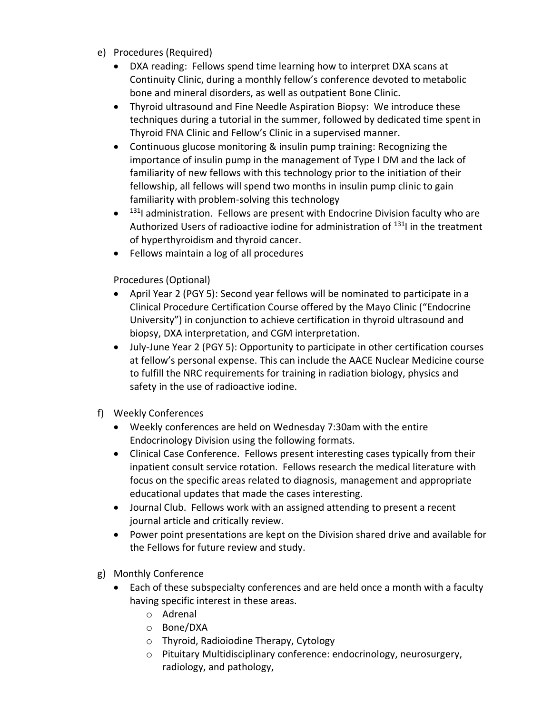- e) Procedures (Required)
	- DXA reading: Fellows spend time learning how to interpret DXA scans at Continuity Clinic, during a monthly fellow's conference devoted to metabolic bone and mineral disorders, as well as outpatient Bone Clinic.
	- Thyroid ultrasound and Fine Needle Aspiration Biopsy: We introduce these techniques during a tutorial in the summer, followed by dedicated time spent in Thyroid FNA Clinic and Fellow's Clinic in a supervised manner.
	- Continuous glucose monitoring & insulin pump training: Recognizing the importance of insulin pump in the management of Type I DM and the lack of familiarity of new fellows with this technology prior to the initiation of their fellowship, all fellows will spend two months in insulin pump clinic to gain familiarity with problem-solving this technology
	- <sup>131</sup>I administration. Fellows are present with Endocrine Division faculty who are Authorized Users of radioactive iodine for administration of <sup>131</sup>I in the treatment of hyperthyroidism and thyroid cancer.
	- Fellows maintain a log of all procedures

Procedures (Optional)

- April Year 2 (PGY 5): Second year fellows will be nominated to participate in a Clinical Procedure Certification Course offered by the Mayo Clinic ("Endocrine University") in conjunction to achieve certification in thyroid ultrasound and biopsy, DXA interpretation, and CGM interpretation.
- July-June Year 2 (PGY 5): Opportunity to participate in other certification courses at fellow's personal expense. This can include the AACE Nuclear Medicine course to fulfill the NRC requirements for training in radiation biology, physics and safety in the use of radioactive iodine.
- f) Weekly Conferences
	- Weekly conferences are held on Wednesday 7:30am with the entire Endocrinology Division using the following formats.
	- Clinical Case Conference. Fellows present interesting cases typically from their inpatient consult service rotation. Fellows research the medical literature with focus on the specific areas related to diagnosis, management and appropriate educational updates that made the cases interesting.
	- Journal Club. Fellows work with an assigned attending to present a recent journal article and critically review.
	- Power point presentations are kept on the Division shared drive and available for the Fellows for future review and study.
- g) Monthly Conference
	- Each of these subspecialty conferences and are held once a month with a faculty having specific interest in these areas.
		- o Adrenal
		- o Bone/DXA
		- o Thyroid, Radioiodine Therapy, Cytology
		- o Pituitary Multidisciplinary conference: endocrinology, neurosurgery, radiology, and pathology,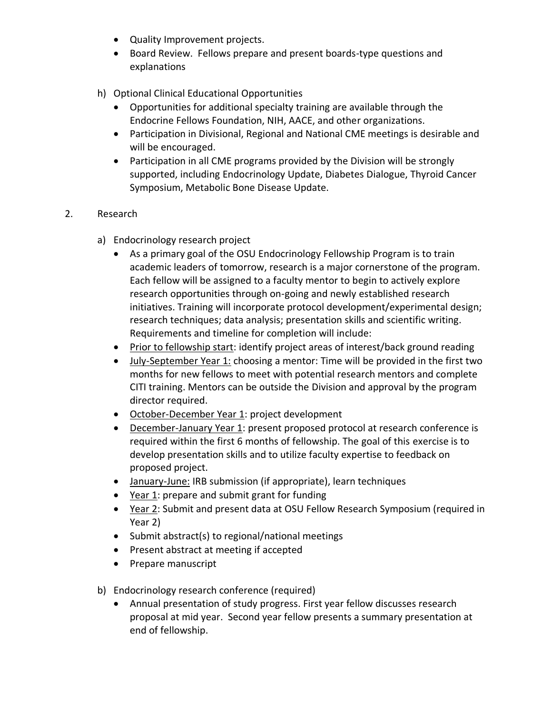- Quality Improvement projects.
- Board Review. Fellows prepare and present boards-type questions and explanations
- h) Optional Clinical Educational Opportunities
	- Opportunities for additional specialty training are available through the Endocrine Fellows Foundation, NIH, AACE, and other organizations.
	- Participation in Divisional, Regional and National CME meetings is desirable and will be encouraged.
	- Participation in all CME programs provided by the Division will be strongly supported, including Endocrinology Update, Diabetes Dialogue, Thyroid Cancer Symposium, Metabolic Bone Disease Update.

## 2. Research

- a) Endocrinology research project
	- As a primary goal of the OSU Endocrinology Fellowship Program is to train academic leaders of tomorrow, research is a major cornerstone of the program. Each fellow will be assigned to a faculty mentor to begin to actively explore research opportunities through on-going and newly established research initiatives. Training will incorporate protocol development/experimental design; research techniques; data analysis; presentation skills and scientific writing. Requirements and timeline for completion will include:
	- Prior to fellowship start: identify project areas of interest/back ground reading
	- July-September Year 1: choosing a mentor: Time will be provided in the first two months for new fellows to meet with potential research mentors and complete CITI training. Mentors can be outside the Division and approval by the program director required.
	- October-December Year 1: project development
	- December-January Year 1: present proposed protocol at research conference is required within the first 6 months of fellowship. The goal of this exercise is to develop presentation skills and to utilize faculty expertise to feedback on proposed project.
	- January-June: IRB submission (if appropriate), learn techniques
	- Year 1: prepare and submit grant for funding
	- Year 2: Submit and present data at OSU Fellow Research Symposium (required in Year 2)
	- Submit abstract(s) to regional/national meetings
	- Present abstract at meeting if accepted
	- Prepare manuscript
- b) Endocrinology research conference (required)
	- Annual presentation of study progress. First year fellow discusses research proposal at mid year. Second year fellow presents a summary presentation at end of fellowship.